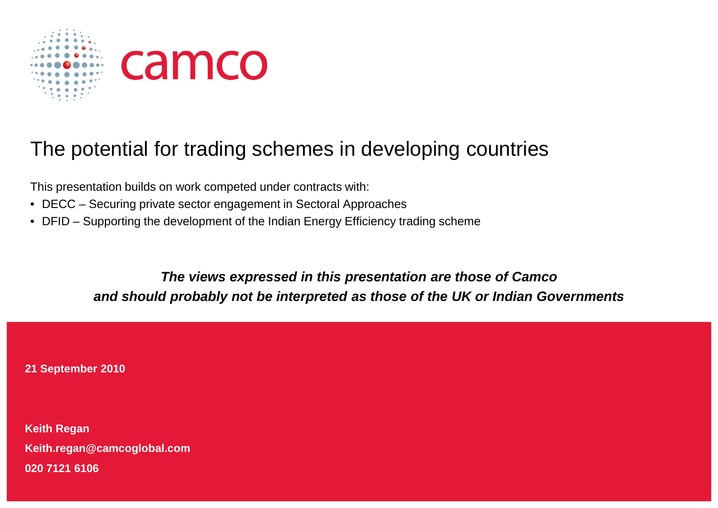

#### The potential for trading schemes in developing countries

This presentation builds on work competed under contracts with:

- $\bullet~$  DECC Securing private sector engagement in Sectoral Approaches
- $\bullet~$  DFID Supporting the development of the Indian Energy Efficiency trading scheme

**The views expressed in this pre presentation are those of Camco**  and should probably not be interpreted as those of the UK or Indian Governments

**21 September 2010**

**Keith Regan Keith.regan@camcoglobal.com 020 7121 6106**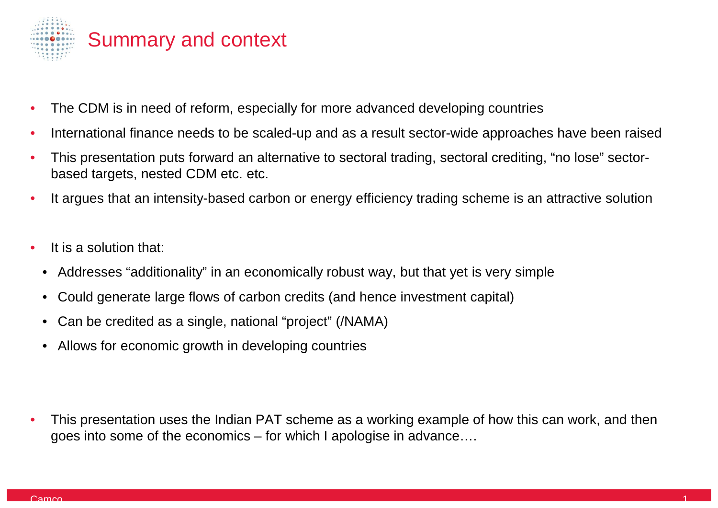

- •• The CDM is in need of reform, especially for more advanced developing countries
- $\bullet$ • International finance needs to be scaled-up and as a result sector-wide approaches have been raised
- •• This presentation puts forward an alternative to sectoral trading, sectoral crediting, "no lose" sectorbased targets, nested CDM etc. etc.
- •• It argues that an intensity-based carbon or energy efficiency trading scheme is an attractive solution
- • It is a solution that:
	- •• Addresses "additionality" in an economically robust way, but that yet is very simple
	- $\bullet$ • Could generate large flows of carbon credits (and hence investment capital)
	- •• Can be credited as a single, national "project" (/NAMA)
	- $\bullet$ Allows for economic growth in developing countries
- •- Allows for economic growth in developing countries<br>- This presentation uses the Indian PAT scheme as a working example of how this can work, and then goes into some of the economics – for which I apologise in advance….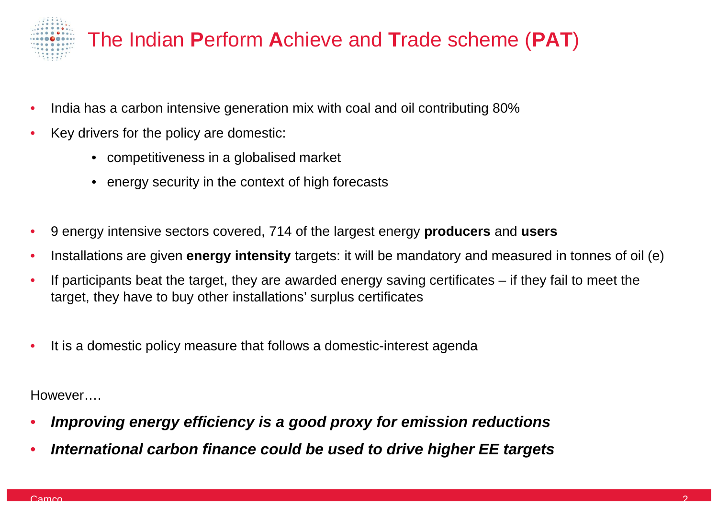

# The Indian Perform Achieve and Trade scheme (PAT)

- • $\bullet$  India has a carbon intensive generation mix with coal and oil contributing 80%
- • Key drivers for the policy are domestic:
	- competitiveness in a globalised market
	- $\bullet~$  energy security in the context of high forecasts
- •• 9 energy intensive sectors covered, 714 of the largest energy **producers** and users
- •**•** Installations are given energy intensity targets: it will be mandatory and measured in tonnes of oil (e)
- • $\bullet$  If participants beat the target, they are awarded energy saving certificates – if they fail to meet the target, they have to buy other installations' surplus certificates
- •• It is a domestic policy measure that follows a domestic-interest agenda

However….

- •**• Improving energy efficiency is a good proxy for emission reductions**
- $\bullet$ **• International carbon finance could be used to drive higher EE targets**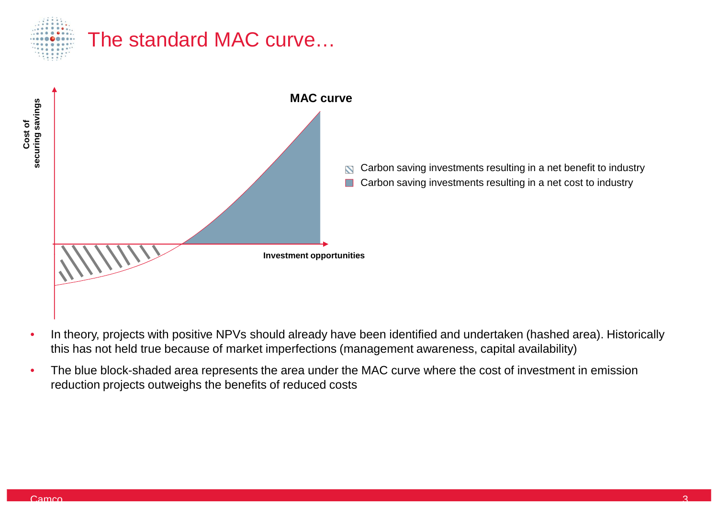

**Cost of** 

#### The standard MAC curve…



Carbon saving investments resulting in a net benefit to industry<br>Carbon saving investments resulting in a net cost to industry<br>ies Carbon saving investments resulting in a net cost to industry

- •• In theory, projects with positive NPVs should already have been identified and undertaken (hashed area). Historically this has not held true because of market imperfections (management awareness, capital availability)
- •• The blue block-shaded area represents the area under the MAC curve where the cost of investment in emission reduction projects outweighs the benefits of reduced costs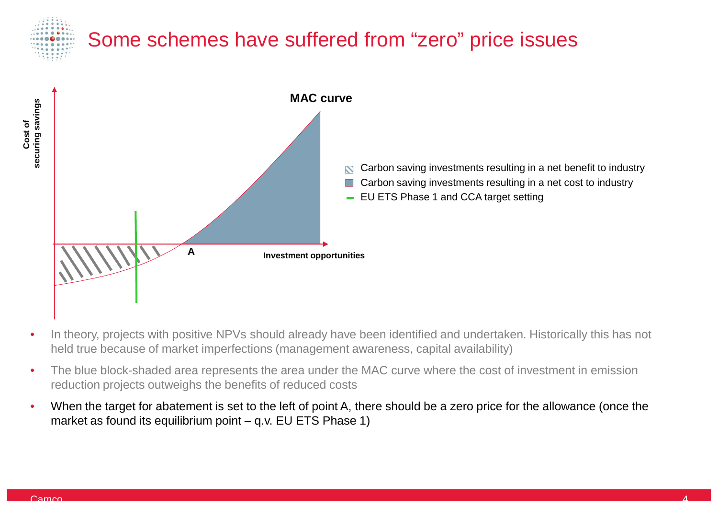## Some schemes have suffered from "zero" price issues



- •• In theory, projects with positive NPVs should already have been identified and undertaken. Historically this has not held true because of market imperfections (management awareness, capital availability)
- •• The blue block-shaded area represents the area under the MAC curve where the cost of investment in emission reduction projects outweighs the benefits of reduced costs
- •• When the target for abatement is set to the left of point A, there should be a zero price for the allowance (once the market as found its equilibrium point – q.v. EU ETS Phase 1)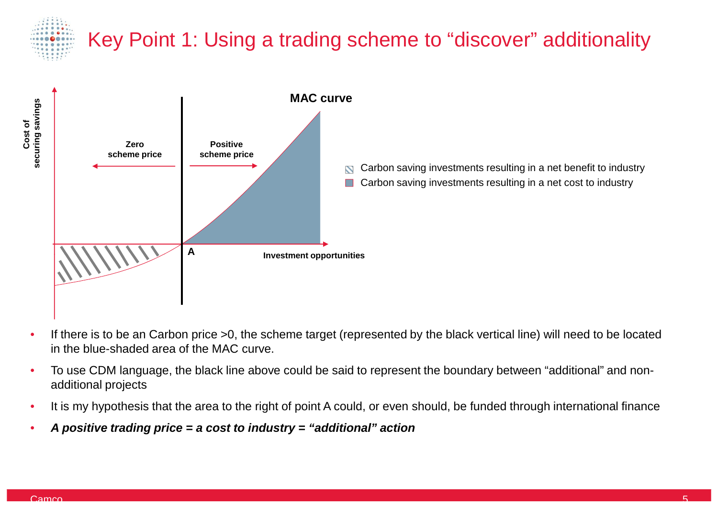

**Cost of** 

# Key Point 1: Using a trading scheme to "discover" additionality



Carbon saving investments resulting in a net benefit to industry Carbon saving investments resulting in a net cost to industry

- •• If there is to be an Carbon price >0, the scheme target (represented by the black vertical line) will need to be located in the blue-shaded area of the MAC curve.
- •• To use CDM language, the black line above could be said to represent the boundary between "additional" and nonadditional projects
- •• It is my hypothesis that the area to the right of point A could, or even should, be funded through international finance
- •**A positive trading price = a cost to industry = "addition onal" action**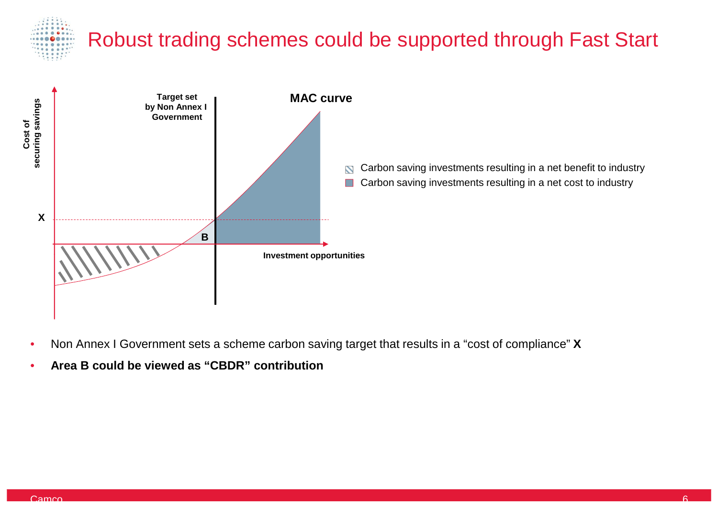# Robust trading schemes could be supported through Fast Start



Carbon saving investments resulting in a net benefit to industry<br>Carbon saving investments resulting in a net cost to industry<br>ies Carbon saving investments resulting in a net cost to industry

- •• Non Annex I Government sets a scheme carbon saving target that results in a "cost of compliance" X
- •**Area B could be viewed as "CBDR" contribution**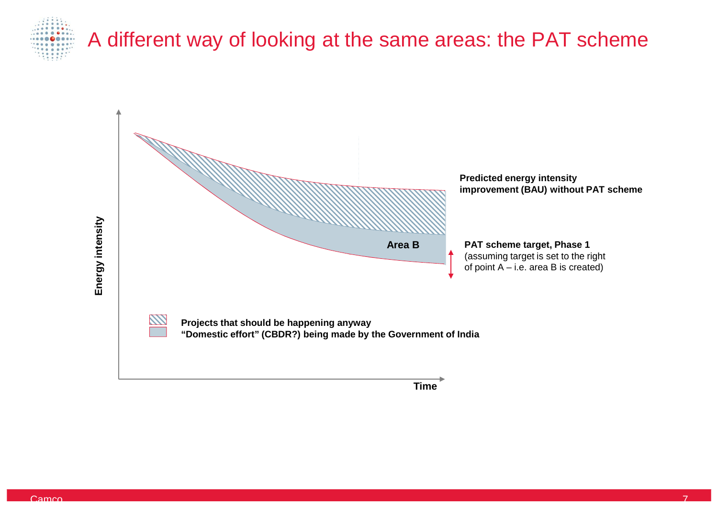

## A different way of looking at the same areas: the PAT scheme



**Time**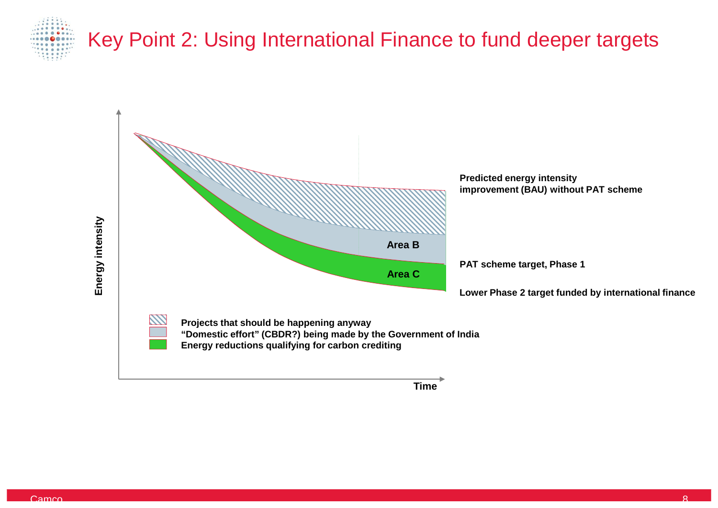

# Key Point 2: Using International Finance to fund deeper targets



**Time**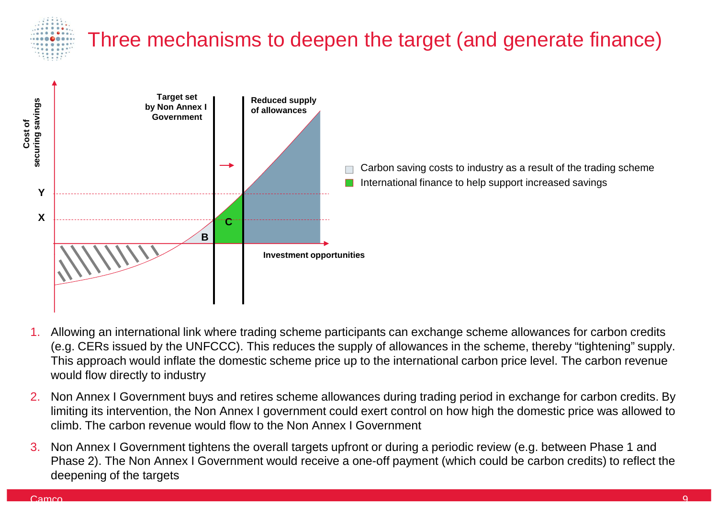

# Three mechanisms to deepen the target (and generate finance)



Carbon saving costs to industry as a result of the trading scheme International finance to help support increased savings

- 1. Allowing an international link where trading scheme participants can exchange scheme allowances for carbon credits (e.g. CERs issued by the UNFCCC). This reduces the supply of allowances in the scheme, thereby "tightening" supply. This approach would inflate the domestic scheme price up to the international carbon price level. The carbon revenue would flow directly to industry
- 2. Non Annex I Government buys and retires scheme allowances during trading period in exchange for carbon credits. By limiting its intervention, the Non Annex I government could exert control on how high the domestic price was allowed to climb. The carbon revenue would flow to the Non Annex I Government
- 3. Non Annex I Government tightens the overall targets upfront or during a periodic review (e.g. between Phase 1 and Phase 2). The Non Annex I Government would receive a one-off payment (which could be carbon credits) to reflect the deepening of the targets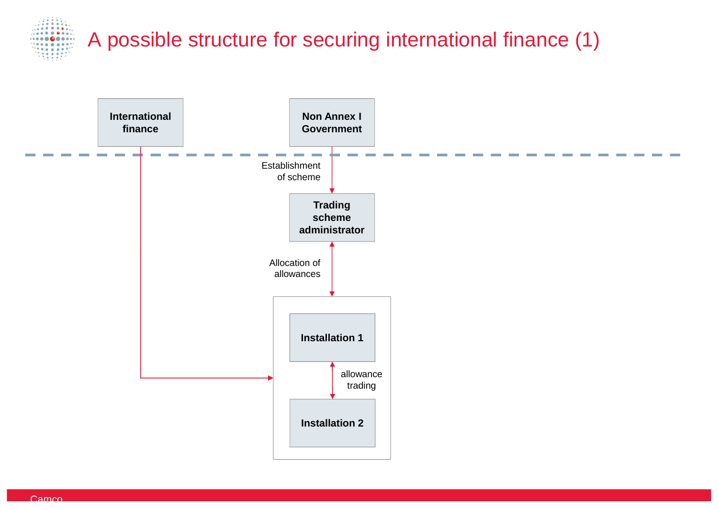

# A possible structure for securing international finance (1)

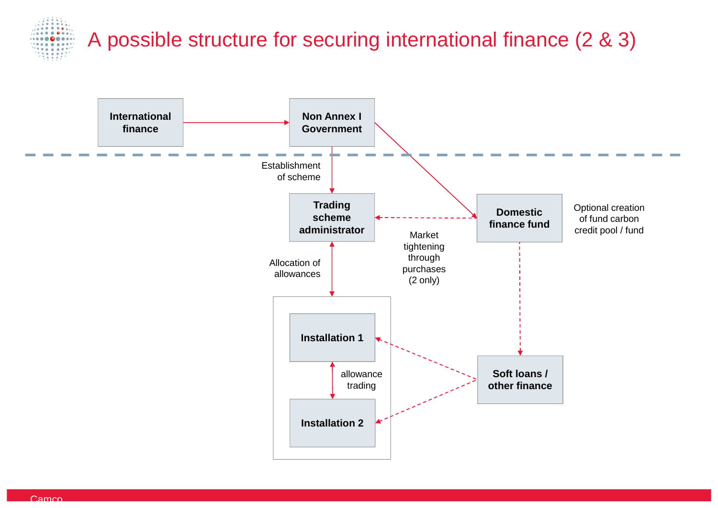

# A possible structure for securing international finance (2 & 3)

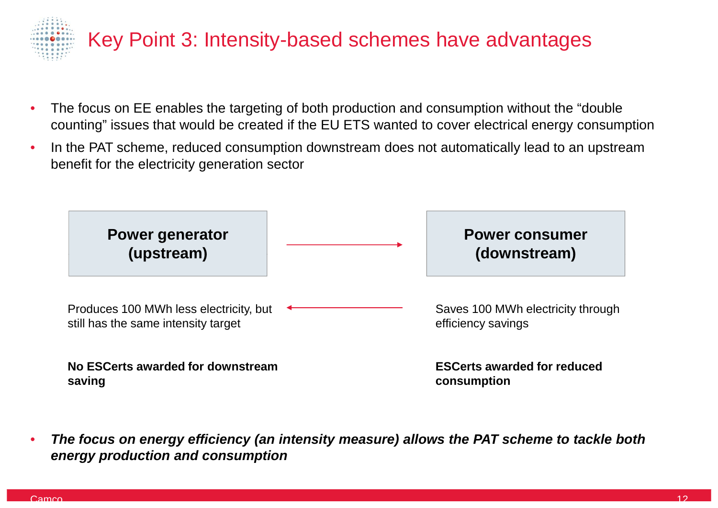

- • $\bullet$  The focus on EE enables the targeting of both production and consumption without the "double counting" issues that would be created if the EU ETS wanted to cover electrical energy consumption
- •• In the PAT scheme, reduced consumption downstream does not automatically lead to an upstream benefit for the electricity generation sector



• **The focus on energy efficiency (an intensity mea easure) allows the PAT scheme to tackle both energy production and consumption**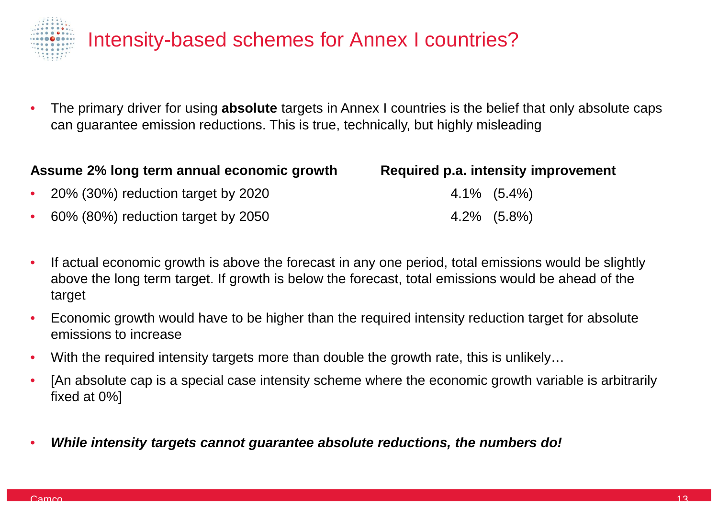

#### Intensity-based schemes for Annex I countries?

•• The primary driver for using **absolute** targets in Annex I countries is the belief that only absolute caps can guarantee emission reductions. This is true, technically, but highly misleading

| Assume 2% long term annual economic growth |                                      | Required p.a. intensity improvement |  |
|--------------------------------------------|--------------------------------------|-------------------------------------|--|
|                                            | • 20% (30%) reduction target by 2020 | $4.1\%$ $(5.4\%)$                   |  |
|                                            | • 60% (80%) reduction target by 2050 | $4.2\%$ $(5.8\%)$                   |  |

- • $\bullet$  If actual economic growth is above the forecast in any one period, total emissions would be slightly above the long term target. If growth is below the forecast, total emissions would be ahead of the target
- •• Economic growth would have to be higher than the required intensity reduction target for absolute emissions to increase
- • $\bullet$  With the required intensity targets more than double the growth rate, this is unlikely...
- •• [An absolute cap is a special case intensity scheme where the economic growth variable is arbitrarily fixed at 0%]
- •**• While intensity targets cannot guarantee absolute reductions, the numbers do!**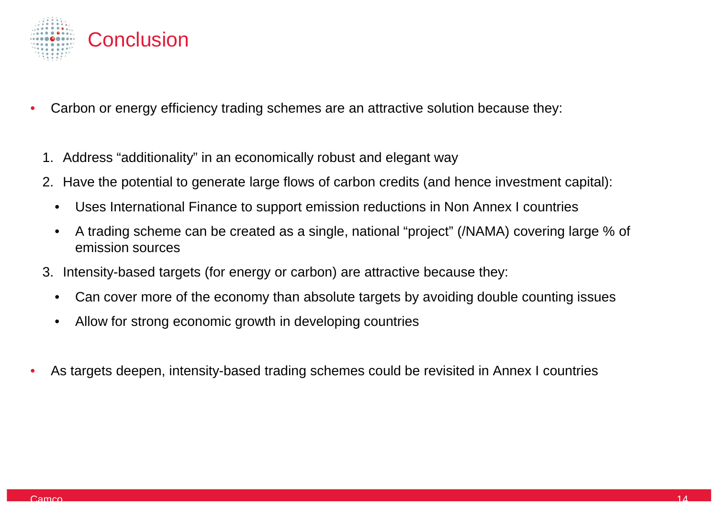

- •• Carbon or energy efficiency trading schemes are an attractive solution because they:
	- 1. Address "additionality" in an economically robust and elegant way
	- 2. Have the potential to generate large flows of carbon credits (and hence investment capital):
		- •• Uses International Finance to support emission reductions in Non Annex I countries
		- •• A trading scheme can be created as a single, national "project" (/NAMA) covering large % of emission sources
	- 3. Intensity-based targets (for energy or carbon) are attractive because they:
		- $\bullet$ • Can cover more of the economy than absolute targets by avoiding double counting issues
		- •• Allow for strong economic growth in developing countries
- •• As targets deepen, intensity-based trading schemes could be revisited in Annex I countries